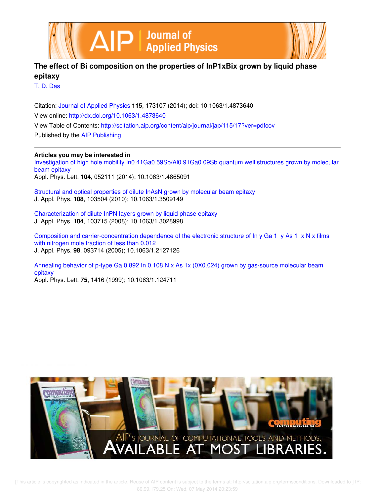



# **The effect of Bi composition on the properties of InP1xBix grown by liquid phase epitaxy**

T. D. Das

Citation: Journal of Applied Physics **115**, 173107 (2014); doi: 10.1063/1.4873640 View online: http://dx.doi.org/10.1063/1.4873640 View Table of Contents: http://scitation.aip.org/content/aip/journal/jap/115/17?ver=pdfcov Published by the AIP Publishing

# **Articles you may be interested in**

Investigation of high hole mobility In0.41Ga0.59Sb/Al0.91Ga0.09Sb quantum well structures grown by molecular beam epitaxy Appl. Phys. Lett. **104**, 052111 (2014); 10.1063/1.4865091

Structural and optical properties of dilute InAsN grown by molecular beam epitaxy J. Appl. Phys. **108**, 103504 (2010); 10.1063/1.3509149

Characterization of dilute InPN layers grown by liquid phase epitaxy J. Appl. Phys. **104**, 103715 (2008); 10.1063/1.3028998

Composition and carrier-concentration dependence of the electronic structure of In y Ga 1 y As 1 x N x films with nitrogen mole fraction of less than 0.012 J. Appl. Phys. **98**, 093714 (2005); 10.1063/1.2127126

Annealing behavior of p-type Ga 0.892 In 0.108 N x As 1x (0X0.024) grown by gas-source molecular beam epitaxy

Appl. Phys. Lett. **75**, 1416 (1999); 10.1063/1.124711

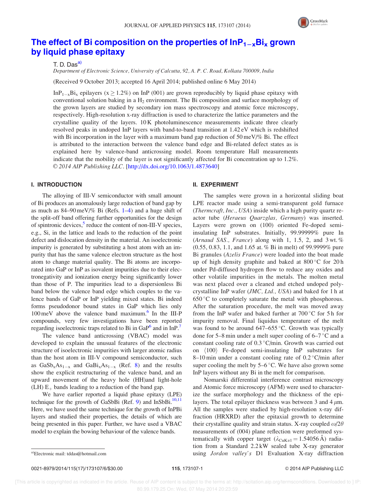

# The effect of Bi composition on the properties of  $\text{InP}_{1-x}\text{Bi}_x$  grown by liquid phase epitaxy

 $T. D. Das<sup>a</sup>$ 

Department of Electronic Science, University of Calcutta, 92, A. P. C. Road, Kolkata 700009, India

(Received 9 October 2013; accepted 16 April 2014; published online 6 May 2014)

In $P_{1-x}B_i$  epilayers ( $x \ge 1.2\%$ ) on InP (001) are grown reproducibly by liquid phase epitaxy with conventional solution baking in a  $H_2$  environment. The Bi composition and surface morphology of the grown layers are studied by secondary ion mass spectroscopy and atomic force microscopy, respectively. High-resolution x-ray diffraction is used to characterize the lattice parameters and the crystalline quality of the layers. 10 K photoluminescence measurements indicate three clearly resolved peaks in undoped InP layers with band-to-band transition at 1.42 eV which is redshifted with Bi incorporation in the layer with a maximum band gap reduction of 50 meV/% Bi. The effect is attributed to the interaction between the valence band edge and Bi-related defect states as is explained here by valence-band anticrossing model. Room temperature Hall measurements indicate that the mobility of the layer is not significantly affected for Bi concentration up to 1.2%. © 2014 AIP Publishing LLC. [http://dx.doi.org/10.1063/1.4873640]

### I. INTRODUCTION

The alloying of III-V semiconductor with small amount of Bi produces an anomalously large reduction of band gap by as much as 84–90 meV/% Bi (Refs. 1–4) and a huge shift of the split-off band offering further opportunities for the design of spintronic devices,<sup>5</sup> reduce the content of non-III-V species, e.g., Si, in the lattice and leads to the reduction of the point defect and dislocation density in the material. An isoelectronic impurity is generated by substituting a host atom with an impurity that has the same valence electron structure as the host atom to change material quality. The Bi atoms are incorporated into GaP or InP as isovalent impurities due to their electronegativity and ionization energy being significantly lower than those of P. The impurities lead to a dispersionless Bi band below the valence band edge which couples to the valence bands of GaP or InP yielding mixed states. Bi indeed forms pseudodonor bound states in GaP which lies only 100 meV above the valence band maximum.<sup>6</sup> In the III-P compounds, very few investigations have been reported regarding isoelectronic traps related to Bi in GaP<sup>6</sup> and in InP.<sup>7</sup>

The valence band anticrossing (VBAC) model was developed to explain the unusual features of the electronic structure of isoelectronic impurities with larger atomic radius than the host atom in III-V compound semiconductor, such as  $GaSb_xAs_{1-x}$  and  $GaBi_xAs_{1-x}$  (Ref. 8) and the results show the explicit restructuring of the valence band, and an upward movement of the heavy hole (HH)and light-hole  $(LH) E<sub>+</sub>$  bands leading to a reduction of the band gap.

We have earlier reported a liquid phase epitaxy (LPE) technique for the growth of GaSbBi (Ref. 9) and InSbBi. $10,11$ Here, we have used the same technique for the growth of InPBi layers and studied their properties, the details of which are being presented in this paper. Further, we have used a VBAC model to explain the bowing behaviour of the valence bands.

#### II. EXPERIMENT

The samples were grown in a horizontal sliding boat LPE reactor made using a semi-transparent gold furnace (Thermcraft, Inc., USA) inside which a high purity quartz reactor tube (Heraeus Quarzglas, Germany) was inserted. Layers were grown on (100) oriented Fe-doped semiinsulating InP substrates. Initially, 99.99999% pure In (Arnaud SAS., France) along with 1, 1.5, 2, and  $3$  wt.  $%$ (0.55, 0.83, 1.1, and 1.65 at. % Bi in melt) of 99.9999% pure Bi granules (Azelis France) were loaded into the boat made up of high density graphite and baked at  $800^{\circ}$ C for 20 h under Pd-diffused hydrogen flow to reduce any oxides and other volatile impurities in the metals. The molten metal was next placed over a cleaned and etched undoped polycrystalline InP wafer (JMC, Ltd., USA) and baked for 1 h at  $650^{\circ}$ C to completely saturate the metal with phosphorous. After the saturation procedure, the melt was moved away from the InP wafer and baked further at  $700\,^{\circ}$ C for 5 h for impurity removal. Final liquidus temperature of the melt was found to be around  $647-655$  °C. Growth was typically done for 5–8 min under a melt super cooling of  $6-7$  °C and a constant cooling rate of  $0.3 \degree C/\text{min}$ . Growth was carried out on  $\langle 100 \rangle$  Fe-doped semi-insulating InP substrates for 8–10 min under a constant cooling rate of  $0.2 \degree C/\text{min}$  after super cooling the melt by  $5-6$  °C. We have also grown some InP layers without any Bi in the melt for comparison.

Nomarski differential interference contrast microscopy and Atomic force microscopy (AFM) were used to characterize the surface morphology and the thickness of the epilayers. The total epilayer thickness was between 3 and 4  $\mu$ m. All the samples were studied by high-resolution x-ray diffraction (HRXRD) after the epitaxial growth to determine their crystalline quality and strain status. X-ray coupled  $\omega/2\theta$ measurements of (004) plane reflection were preformed systematically with copper target  $(\lambda_{\text{CuK}\alpha1} = 1.54056 \text{ Å})$  radiation from a Standard 2.2 kW sealed tube X-ray generator a)Electronic mail: tddas@hotmail.com **and the contract of the contract of the contract of the contract of the contract of the contract of the contract of the contract of the contract of the contract of the contract of the** 

0021-8979/2014/115(17)/173107/6/\$30.00 115, 173107-1 © 2014 AIP Publishing LLC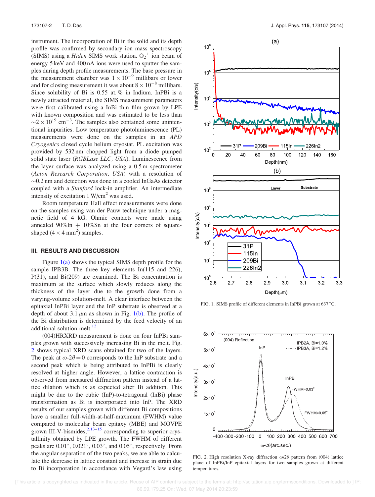instrument. The incorporation of Bi in the solid and its depth profile was confirmed by secondary ion mass spectroscopy (SIMS) using a *Hiden* SIMS work station.  $O_2^+$  ion beam of energy 5 keV and 400 nA ions were used to sputter the samples during depth profile measurements. The base pressure in the measurement chamber was  $1 \times 10^{-9}$  millibars or lower and for closing measurement it was about  $8 \times 10^{-8}$  millibars. Since solubility of Bi is 0.55 at. % in Indium. InPBi is a newly attracted material, the SIMS measurement parameters were first calibrated using a InBi thin film grown by LPE with known composition and was estimated to be less than  $\sim$ 2  $\times$  10<sup>19</sup> cm<sup>-3</sup>. The samples also contained some unintentional impurities. Low temperature photoluminescence (PL) measurements were done on the samples in an APD Cryogenics closed cycle helium cryostat. PL excitation was provided by 532 nm chopped light from a diode pumped solid state laser (RGBLase LLC, USA). Luminescence from the layer surface was analyzed using a 0.5 m spectrometer (Acton Research Corporation, USA) with a resolution of  $\sim$ 0.2 nm and detection was done in a cooled InGaAs detector coupled with a Stanford lock-in amplifier. An intermediate intensity of excitation  $1 \text{ W/cm}^2$  was used.

Room temperature Hall effect measurements were done on the samples using van der Pauw technique under a magnetic field of 4 kG. Ohmic contacts were made using annealed  $90\%$ In  $+10\%$ Sn at the four corners of squareshaped  $(4 \times 4 \text{ mm}^2)$  samples.

#### III. RESULTS AND DISCUSSION

Figure  $1(a)$  shows the typical SIMS depth profile for the sample IPB3B. The three key elements In(115 and 226), P(31), and Bi(209) are examined. The Bi concentration is maximum at the surface which slowly reduces along the thickness of the layer due to the growth done from a varying-volume solution-melt. A clear interface between the epitaxial InPBi layer and the InP substrate is observed at a depth of about 3.1  $\mu$ m as shown in Fig. 1(b). The profile of the Bi distribution is determined by the feed velocity of an additional solution-melt.<sup>12</sup>

(004)HRXRD measurement is done on four InPBi samples grown with successively increasing Bi in the melt. Fig. 2 shows typical XRD scans obtained for two of the layers. The peak at  $\omega$ -2 $\theta$  = 0 corresponds to the InP substrate and a second peak which is being attributed to InPBi is clearly resolved at higher angle. However, a lattice contraction is observed from measured diffraction pattern instead of a lattice dilation which is as expected after Bi addition. This might be due to the cubic (InP)-to-tetragonal (InBi) phase transformation as Bi is incorporated into InP. The XRD results of our samples grown with different Bi compositions have a smaller full-width-at-half-maximum (FWHM) value compared to molecular beam epitaxy (MBE) and MOVPE grown III-V-bismides, $2,13-15$  corresponding to superior crystallinity obtained by LPE growth. The FWHM of different peaks are  $0.01^{\circ}$ ,  $0.021^{\circ}$ ,  $0.03^{\circ}$ , and  $0.05^{\circ}$ , respectively. From the angular separation of the two peaks, we are able to calculate the decrease in lattice constant and increase in strain due to Bi incorporation in accordance with Vegard's law using



FIG. 1. SIMS profile of different elements in InPBi grown at 637 °C.



FIG. 2. High resolution X-ray diffraction  $\omega/2\theta$  pattern from (004) lattice plane of InPBi/InP epitaxial layers for two samples grown at different temperatures.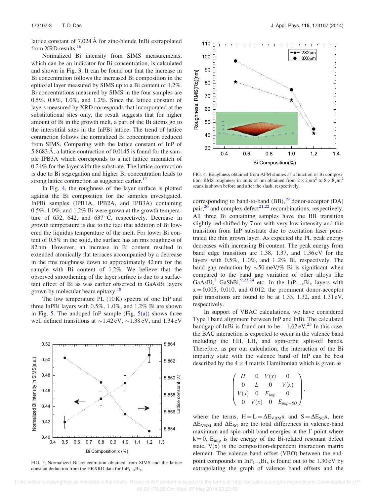lattice constant of 7.024 Å for zinc-blende InBi extrapolated from XRD results.<sup>16</sup>

Normalized Bi intensity from SIMS measurements, which can be an indicator for Bi concentration, is calculated and shown in Fig. 3. It can be found out that the increase in Bi concentration follows the increased Bi composition in the epitaxial layer measured by SIMS up to a Bi content of 1.2%. Bi concentrations measured by SIMS in the four samples are 0.5%, 0.8%, 1.0%, and 1.2%. Since the lattice constant of layers measured by XRD corresponds that incorporated at the substitutional sites only, the result suggests that for higher amount of Bi in the growth melt, a part of the Bi atoms go to the interstitial sites in the InPBi lattice. The trend of lattice contraction follows the normalized Bi concentration deduced from SIMS. Comparing with the lattice constant of InP of 5.8683 Å, a lattice contraction of 0.0145 is found for the sample IPB3A which corresponds to a net lattice mismatch of 0.24% for the layer with the substrate. The lattice contraction is due to Bi segregation and higher Bi concentration leads to strong lattice contraction as suggested earlier.<sup>17</sup>

In Fig. 4, the roughness of the layer surface is plotted against the Bi composition for the samples investigated. InPBi samples (IPB1A, IPB2A, and IPB3A) containing 0.5%, 1.0%, and 1.2% Bi were grown at the growth temperature of 652, 642, and 637 $\degree$ C, respectively. Decrease in growth temperature is due to the fact that addition of Bi lowered the liquidus temperature of the melt. For lower Bi content of 0.5% in the solid, the surface has an rms roughness of 82 nm. However, an increase in Bi content resulted in extended atomically flat terraces accompanied by a decrease in the rms roughness down to approximately 42 nm for the sample with Bi content of 1.2%. We believe that the observed smoothening of the layer surface is due to a surfactant effect of Bi as was earlier observed in GaAsBi layers grown by molecular beam epitaxy.<sup>18</sup>

The low temperature PL (10 K) spectra of one InP and three InPBi layers with 0.5%, 1 .0%, and 1.2% Bi are shown in Fig. 5. The undoped InP sample (Fig.  $5(a)$ ) shows three well defined transitions at  $\sim$ 1.42 eV,  $\sim$ 1.38 eV, and 1.34 eV



FIG. 3. Normalized Bi concentration obtained from SIMS and the lattice constant deduction from the HRXRD data for  $InP_{1-x}Bi_x$ .



FIG. 4. Roughness obtained from AFM studies as a function of Bi composition. RMS roughness in units of nm obtained from  $2 \times 2 \mu m^2$  to  $8 \times 8 \mu m^2$ scans is shown before and after the slash, respectively.

corresponding to band-to-band  $(BB)$ ,<sup>19</sup> donor-acceptor  $(DA)$ pair,  $^{20}$  and complex defect<sup>21,22</sup> recombinations, respectively. All three Bi containing samples have the BB transition slightly red-shifted by 7 nm with very low intensity and this transition from InP substrate due to excitation laser penetrated the thin grown layer. As expected the PL peak energy decreases with increasing Bi content. The peak energy from band edge transition are 1.38, 1.37, and 1.36 eV for the layers with 0.5%, 1 .0%, and 1 .2% Bi, respectively. The band gap reduction by  $\sim 50 \,\text{meV}/\%$  Bi is significant when compared to the band gap variation of other alloys like GaAsBi,<sup>2</sup> GaSbBi,<sup>9,23,24</sup> etc. In the InP<sub>1-x</sub>Bi<sub>x</sub> layers with  $x = 0.005$ , 0.010, and 0.012, the prominent donor-acceptor pair transitions are found to be at 1.33, 1.32, and 1.31 eV, respectively.

In support of VBAC calculations, we have considered Type I band alignment between InP and InBi. The calculated bandgap of InBi is found out to be  $-1.62 \text{ eV}^{25}$  In this case, the BAC interaction is expected to occur in the valence band including the HH, LH, and spin-orbit split-off bands. Therefore, as per our calculation, the interaction of the Bi impurity state with the valence band of InP can be best described by the  $4 \times 4$  matrix Hamiltonian which is given as

$$
\begin{pmatrix} H & 0 & V(x) & 0 \\ 0 & L & 0 & V(x) \\ V(x) & 0 & E_{imp} & 0 \\ 0 & V(x) & 0 & E_{imp-SO} \end{pmatrix},
$$

where the terms,  $H = L = \Delta E_{VBM}x$  and  $S = \Delta E_{SOX}$ , here  $\Delta E_{VBM}$  and  $\Delta E_{SO}$  are the total differences in valence-band maximum and spin-orbit band energies at the  $\Gamma$  point where  $k = 0$ ,  $E_{imp}$  is the energy of the Bi-related resonant defect state,  $V(x)$  is the composition-dependent interaction matrix element. The valence band offset (VBO) between the endpoint compounds in  $InP_{1-x}Bi_x$  is found out to be 1.30 eV by extrapolating the graph of valence band offsets and the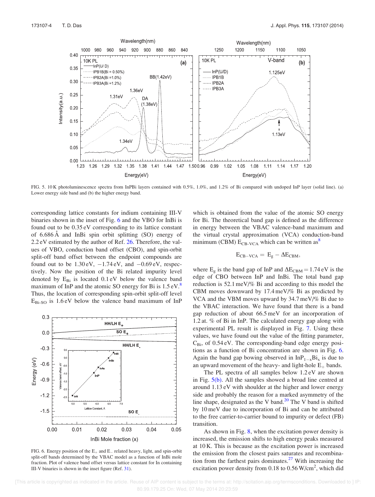

FIG. 5. 10 K photoluminescence spectra from InPBi layers contained with 0.5%, 1.0%, and 1.2% of Bi compared with undoped InP layer (solid line). (a) Lower energy side band and (b) the higher energy band.

corresponding lattice constants for indium containing III-V binaries shown in the inset of Fig. 6 and the VBO for InBi is found out to be 0.35 eV corresponding to its lattice constant of 6.686 A˚ and InBi spin orbit splitting (SO) energy of 2.2 eV estimated by the author of Ref. 26. Therefore, the values of VBO, conduction band offset (CBO), and spin-orbit split-off band offset between the endpoint compounds are found out to be  $1.30 \text{ eV}$ ,  $-1.74 \text{ eV}$ , and  $-0.69 \text{ eV}$ , respectively. Now the position of the Bi related impurity level denoted by  $E_{Bi}$  is located 0.1 eV below the valence band maximum of InP and the atomic SO energy for Bi is  $1.5 \text{ eV}$ .<sup>8</sup> Thus, the location of corresponding spin-orbit split-off level  $E_{\text{Bi-SO}}$  is 1.6 eV below the valence band maximum of InP



FIG. 6. Energy position of the  $E_+$  and  $E_-$  related heavy, light, and spin-orbit split-off bands determined by the VBAC model as a function of InBi mole fraction. Plot of valence band offset versus lattice constant for In containing III-V binaries is shown in the inset figure (Ref. 31).

which is obtained from the value of the atomic SO energy for Bi. The theoretical band gap is defined as the difference in energy between the VBAC valence-band maximum and the virtual crystal approximation (VCA) conduction-band minimum (CBM)  $E_{CB-VCA}$  which can be written as<sup>8</sup>

$$
E_{CB-VCA}=\,E_g-\Delta E_{CBM},
$$

where  $E<sub>g</sub>$  is the band gap of InP and  $\Delta E<sub>CBM</sub> = 1.74$  eV is the edge of CBO between InP and InBi. The total band gap reduction is 52.1 meV/% Bi and according to this model the CBM moves downward by 17.4 meV/% Bi as predicted by VCA and the VBM moves upward by 34.7 meV/% Bi due to the VBAC interaction. We have found that there is a band gap reduction of about 66.5 meV for an incorporation of 1.2 at. % of Bi in InP. The calculated energy gap along with experimental PL result is displayed in Fig. 7. Using these values, we have found out the value of the fitting parameter,  $C_{\text{Bi}}$ , of 0.54 eV. The corresponding-band edge energy positions as a function of Bi concentration are shown in Fig. 6. Again the band gap bowing observed in  $InP_{1-x}Bi_x$  is due to an upward movement of the heavy- and light-hole  $E_+$  bands.

The PL spectra of all samples below 1.2 eV are shown in Fig. 5(b). All the samples showed a broad line centred at around 1.13 eV with shoulder at the higher and lower energy side and probably the reason for a marked asymmetry of the line shape, designated as the V band. $20$  The V band is shifted by 10 meV due to incorporation of Bi and can be attributed to the free carrier-to-carrier bound to impurity or defect (FB) transition.

As shown in Fig. 8, when the excitation power density is increased, the emission shifts to high energy peaks measured at 10 K. This is because as the excitation power is increased the emission from the closest pairs saturates and recombination from the farthest pairs dominates. $27$  With increasing the excitation power density from 0.18 to  $0.56$  W/cm<sup>2</sup>, which did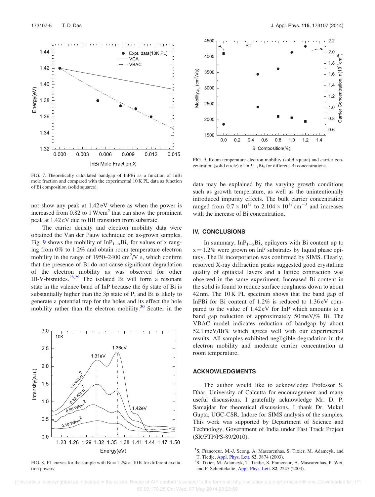

FIG. 7. Theoretically calculated bandgap of InPBi as a function of InBi mole fraction and compared with the experimental 10 K PL data as function of Bi composition (solid squares).

not show any peak at 1.42 eV where as when the power is increased from  $0.82$  to 1 W/cm<sup>2</sup> that can show the prominent peak at 1.42 eV due to BB transition from substrate.

The carrier density and electron mobility data were obtained the Van der Pauw technique on as-grown samples. Fig. 9 shows the mobility of  $InP_{1-x}Bi_x$  for values of x ranging from 0% to 1.2% and obtain room temperature electron mobility in the range of 1950–2400  $\text{cm}^2\text{/V}$  s, which confirm that the presence of Bi do not cause significant degradation of the electron mobility as was observed for other III-V-bismides. $28,29$  The isolated Bi will form a resonant state in the valence band of InP because the 6p state of Bi is substantially higher than the 3p state of P, and Bi is likely to generate a potential trap for the holes and its effect the hole mobility rather than the electron mobility. $30$  Scatter in the



FIG. 8. PL curves for the sample with  $Bi = 1.2\%$  at 10 K for different excitation powers.



FIG. 9. Room temperature electron mobility (solid square) and carrier concentration (solid circle) of  $InP_{1-x}Bi_x$  for different Bi concentrations.

data may be explained by the varying growth conditions such as growth temperature, as well as the unintentionally introduced impurity effects. The bulk carrier concentration ranged from  $0.7 \times 10^{17}$  to  $2.104 \times 10^{17}$  cm<sup>-3</sup> and increases with the increase of Bi concentration.

### IV. CONCLUSIONS

In summary,  $InP_{1-x}Bi_x$  epilayers with Bi content up to  $x = 1.2\%$  were grown on InP substrates by liquid phase epitaxy. The Bi incorporation was confirmed by SIMS. Clearly, resolved X-ray diffraction peaks suggested good crystalline quality of epitaxial layers and a lattice contraction was observed in the same experiment. Increased Bi content in the solid is found to reduce surface roughness down to about 42 nm. The 10 K PL spectrum shows that the band gap of InPBi for Bi content of 1.2% is reduced to 1.36 eV compared to the value of 1.42 eV for InP which amounts to a band gap reduction of approximately 50 meV/% Bi. The VBAC model indicates reduction of bandgap by about 52.1 meV/Bi% which agrees well with our experimental results. All samples exhibited negligible degradation in the electron mobility and moderate carrier concentration at room temperature.

## ACKNOWLEDGMENTS

The author would like to acknowledge Professor S. Dhar, University of Calcutta for encouragement and many useful discussions. I gratefully acknowledge Mr. D. P. Samajdar for theoretical discussions. I thank Dr. Mukul Gupta, UGC-CSR, Indore for SIMS analysis of the samples. This work was supported by Department of Science and Technology, Government of India under Fast Track Project (SR/FTP/PS-89/2010).

T. Tiedje, Appl. Phys. Lett. 82, 3874 (2003).

<sup>&</sup>lt;sup>1</sup>S. Francoeur, M.-J. Seong, A. Mascarenhas, S. Tixier, M. Adamcyk, and

<sup>&</sup>lt;sup>2</sup>S. Tixier, M. Adamcyk, T. Tiedje, S. Francoeur, A. Mascarenhas, P. Wei, and F. Schiettekatte, Appl. Phys. Lett. 82, 2245 (2003).